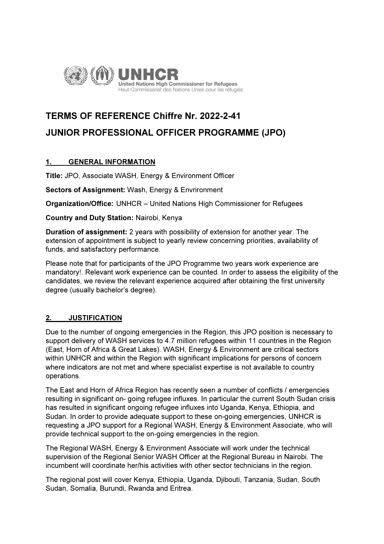

# TERMS OF REFERENCE Chiffre Nr. 2022-2-41 JUNIOR PROFESSIONAL OFFICER PROGRAMME (JPO)

# 1. GENERAL INFORMATION

Title: JPO, Associate WASH, Energy & Environment Officer

Sectors of Assignment: Wash, Energy & Envrironment

Organization/Office: UNHCR – United Nations High Commissioner for Refugees

Country and Duty Station: Nairobi, Kenya

Duration of assignment: 2 years with possibility of extension for another year. The extension of appointment is subject to yearly review concerning priorities, availability of funds, and satisfactory performance.

Please note that for participants of the JPO Programme two years work experience are mandatory!. Relevant work experience can be counted. In order to assess the eligibility of the candidates, we review the relevant experience acquired after obtaining the first university degree (usually bachelor's degree).

## 2. JUSTIFICATION

Due to the number of ongoing emergencies in the Region, this JPO position is necessary to support delivery of WASH services to 4.7 million refugees within 11 countries in the Region (East, Horn of Africa & Great Lakes). WASH, Energy & Environment are critical sectors within UNHCR and within the Region with significant implications for persons of concern where indicators are not met and where specialist expertise is not available to country operations.

The East and Horn of Africa Region has recently seen a number of conflicts / emergencies resulting in significant on- going refugee influxes. In particular the current South Sudan crisis has resulted in significant ongoing refugee influxes into Uganda, Kenya, Ethiopia, and Sudan. In order to provide adequate support to these on-going emergencies, UNHCR is requesting a JPO support for a Regional WASH, Energy & Environment Associate, who will provide technical support to the on-going emergencies in the region.

The Regional WASH, Energy & Environment Associate will work under the technical supervision of the Regional Senior WASH Officer at the Regional Bureau in Nairobi. The incumbent will coordinate her/his activities with other sector technicians in the region.

The regional post will cover Kenya, Ethiopia, Uganda, Djibouti, Tanzania, Sudan, South Sudan, Somalia, Burundi, Rwanda and Eritrea.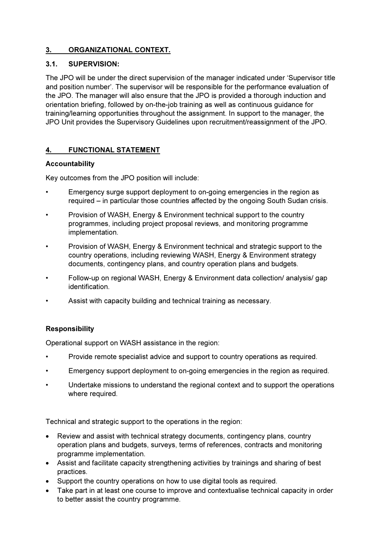# 3. ORGANIZATIONAL CONTEXT.

## 3.1. SUPERVISION:

The JPO will be under the direct supervision of the manager indicated under 'Supervisor title and position number'. The supervisor will be responsible for the performance evaluation of the JPO. The manager will also ensure that the JPO is provided a thorough induction and orientation briefing, followed by on-the-job training as well as continuous guidance for training/learning opportunities throughout the assignment. In support to the manager, the JPO Unit provides the Supervisory Guidelines upon recruitment/reassignment of the JPO.

# 4. FUNCTIONAL STATEMENT

## Accountability

Key outcomes from the JPO position will include:

- Emergency surge support deployment to on-going emergencies in the region as required – in particular those countries affected by the ongoing South Sudan crisis.
- Provision of WASH, Energy & Environment technical support to the country programmes, including project proposal reviews, and monitoring programme implementation.
- Provision of WASH, Energy & Environment technical and strategic support to the country operations, including reviewing WASH, Energy & Environment strategy documents, contingency plans, and country operation plans and budgets.
- Follow-up on regional WASH, Energy & Environment data collection/ analysis/ gap identification.
- Assist with capacity building and technical training as necessary.

## Responsibility

Operational support on WASH assistance in the region:

- Provide remote specialist advice and support to country operations as required.
- Emergency support deployment to on-going emergencies in the region as required.
- Undertake missions to understand the regional context and to support the operations where required.

Technical and strategic support to the operations in the region:

- Review and assist with technical strategy documents, contingency plans, country operation plans and budgets, surveys, terms of references, contracts and monitoring programme implementation.
- Assist and facilitate capacity strengthening activities by trainings and sharing of best practices.
- Support the country operations on how to use digital tools as required.
- Take part in at least one course to improve and contextualise technical capacity in order to better assist the country programme.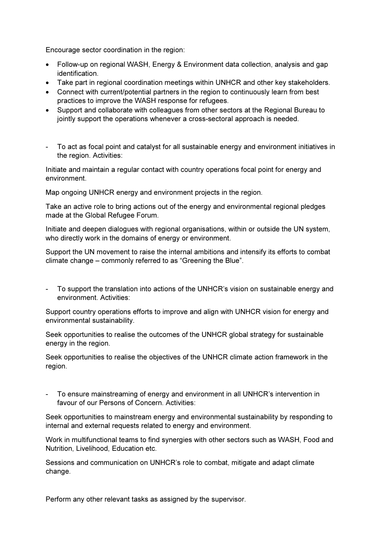Encourage sector coordination in the region:

- Follow-up on regional WASH, Energy & Environment data collection, analysis and gap identification.
- Take part in regional coordination meetings within UNHCR and other key stakeholders.
- Connect with current/potential partners in the region to continuously learn from best practices to improve the WASH response for refugees.
- Support and collaborate with colleagues from other sectors at the Regional Bureau to jointly support the operations whenever a cross-sectoral approach is needed.
- To act as focal point and catalyst for all sustainable energy and environment initiatives in the region. Activities:

Initiate and maintain a regular contact with country operations focal point for energy and environment.

Map ongoing UNHCR energy and environment projects in the region.

Take an active role to bring actions out of the energy and environmental regional pledges made at the Global Refugee Forum.

Initiate and deepen dialogues with regional organisations, within or outside the UN system, who directly work in the domains of energy or environment.

Support the UN movement to raise the internal ambitions and intensify its efforts to combat climate change – commonly referred to as "Greening the Blue".

- To support the translation into actions of the UNHCR's vision on sustainable energy and environment. Activities:

Support country operations efforts to improve and align with UNHCR vision for energy and environmental sustainability.

Seek opportunities to realise the outcomes of the UNHCR global strategy for sustainable energy in the region.

Seek opportunities to realise the objectives of the UNHCR climate action framework in the region.

To ensure mainstreaming of energy and environment in all UNHCR's intervention in favour of our Persons of Concern. Activities:

Seek opportunities to mainstream energy and environmental sustainability by responding to internal and external requests related to energy and environment.

Work in multifunctional teams to find synergies with other sectors such as WASH, Food and Nutrition, Livelihood, Education etc.

Sessions and communication on UNHCR's role to combat, mitigate and adapt climate change.

Perform any other relevant tasks as assigned by the supervisor.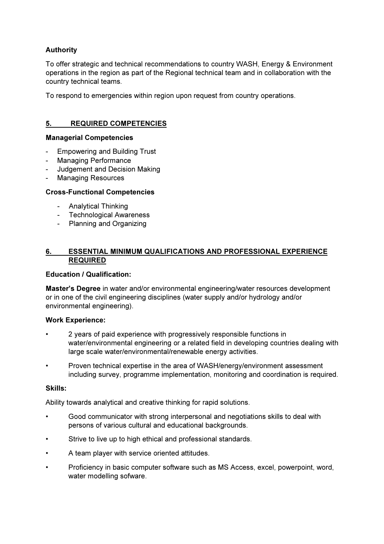# Authority

To offer strategic and technical recommendations to country WASH, Energy & Environment operations in the region as part of the Regional technical team and in collaboration with the country technical teams.

To respond to emergencies within region upon request from country operations.

## 5. REQUIRED COMPETENCIES

#### Managerial Competencies

- Empowering and Building Trust
- Managing Performance
- Judgement and Decision Making
- **Managing Resources**

#### Cross-Functional Competencies

- Analytical Thinking
- Technological Awareness
- Planning and Organizing

#### 6. ESSENTIAL MINIMUM QUALIFICATIONS AND PROFESSIONAL EXPERIENCE REQUIRED

#### Education / Qualification:

Master's Degree in water and/or environmental engineering/water resources development or in one of the civil engineering disciplines (water supply and/or hydrology and/or environmental engineering).

#### Work Experience:

- 2 years of paid experience with progressively responsible functions in water/environmental engineering or a related field in developing countries dealing with large scale water/environmental/renewable energy activities.
- Proven technical expertise in the area of WASH/energy/environment assessment including survey, programme implementation, monitoring and coordination is required.

#### Skills:

Ability towards analytical and creative thinking for rapid solutions.

- Good communicator with strong interpersonal and negotiations skills to deal with persons of various cultural and educational backgrounds.
- Strive to live up to high ethical and professional standards.
- A team player with service oriented attitudes.
- Proficiency in basic computer software such as MS Access, excel, powerpoint, word, water modelling sofware.